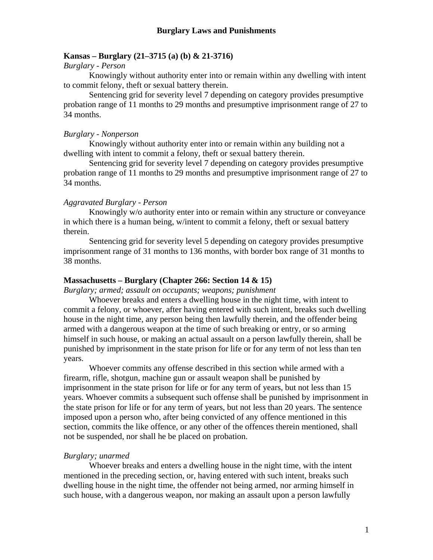## **Kansas – Burglary (21–3715 (a) (b) & 21-3716)**

## *Burglary - Person*

 Knowingly without authority enter into or remain within any dwelling with intent to commit felony, theft or sexual battery therein.

Sentencing grid for severity level 7 depending on category provides presumptive probation range of 11 months to 29 months and presumptive imprisonment range of 27 to 34 months.

### *Burglary - Nonperson*

 Knowingly without authority enter into or remain within any building not a dwelling with intent to commit a felony, theft or sexual battery therein.

Sentencing grid for severity level 7 depending on category provides presumptive probation range of 11 months to 29 months and presumptive imprisonment range of 27 to 34 months.

# *Aggravated Burglary - Person*

Knowingly w/o authority enter into or remain within any structure or conveyance in which there is a human being, w/intent to commit a felony, theft or sexual battery therein.

Sentencing grid for severity level 5 depending on category provides presumptive imprisonment range of 31 months to 136 months, with border box range of 31 months to 38 months.

### **Massachusetts – Burglary (Chapter 266: Section 14 & 15)**

*Burglary; armed; assault on occupants; weapons; punishment* 

Whoever breaks and enters a dwelling house in the night time, with intent to commit a felony, or whoever, after having entered with such intent, breaks such dwelling house in the night time, any person being then lawfully therein, and the offender being armed with a dangerous weapon at the time of such breaking or entry, or so arming himself in such house, or making an actual assault on a person lawfully therein, shall be punished by imprisonment in the state prison for life or for any term of not less than ten years.

Whoever commits any offense described in this section while armed with a firearm, rifle, shotgun, machine gun or assault weapon shall be punished by imprisonment in the state prison for life or for any term of years, but not less than 15 years. Whoever commits a subsequent such offense shall be punished by imprisonment in the state prison for life or for any term of years, but not less than 20 years. The sentence imposed upon a person who, after being convicted of any offence mentioned in this section, commits the like offence, or any other of the offences therein mentioned, shall not be suspended, nor shall he be placed on probation.

## *Burglary; unarmed*

Whoever breaks and enters a dwelling house in the night time, with the intent mentioned in the preceding section, or, having entered with such intent, breaks such dwelling house in the night time, the offender not being armed, nor arming himself in such house, with a dangerous weapon, nor making an assault upon a person lawfully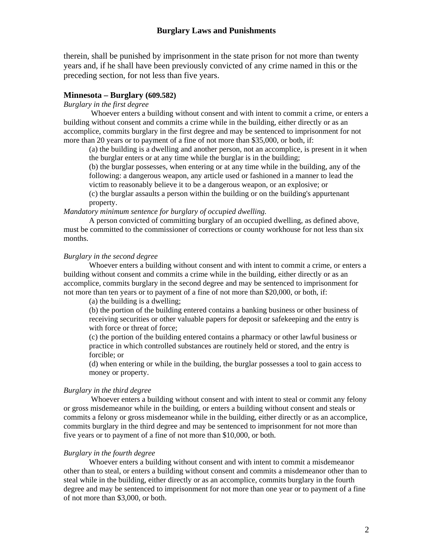therein, shall be punished by imprisonment in the state prison for not more than twenty years and, if he shall have been previously convicted of any crime named in this or the preceding section, for not less than five years.

# **Minnesota – Burglary (609.582)**

#### *Burglary in the first degree*

 Whoever enters a building without consent and with intent to commit a crime, or enters a building without consent and commits a crime while in the building, either directly or as an accomplice, commits burglary in the first degree and may be sentenced to imprisonment for not more than 20 years or to payment of a fine of not more than \$35,000, or both, if:

(a) the building is a dwelling and another person, not an accomplice, is present in it when the burglar enters or at any time while the burglar is in the building;

(b) the burglar possesses, when entering or at any time while in the building, any of the following: a dangerous weapon, any article used or fashioned in a manner to lead the victim to reasonably believe it to be a dangerous weapon, or an explosive; or

(c) the burglar assaults a person within the building or on the building's appurtenant property.

#### *Mandatory minimum sentence for burglary of occupied dwelling.*

A person convicted of committing burglary of an occupied dwelling, as defined above, must be committed to the commissioner of corrections or county workhouse for not less than six months.

# *Burglary in the second degree*

Whoever enters a building without consent and with intent to commit a crime, or enters a building without consent and commits a crime while in the building, either directly or as an accomplice, commits burglary in the second degree and may be sentenced to imprisonment for not more than ten years or to payment of a fine of not more than \$20,000, or both, if:

(a) the building is a dwelling;

(b) the portion of the building entered contains a banking business or other business of receiving securities or other valuable papers for deposit or safekeeping and the entry is with force or threat of force;

(c) the portion of the building entered contains a pharmacy or other lawful business or practice in which controlled substances are routinely held or stored, and the entry is forcible; or

(d) when entering or while in the building, the burglar possesses a tool to gain access to money or property.

#### *Burglary in the third degree*

 Whoever enters a building without consent and with intent to steal or commit any felony or gross misdemeanor while in the building, or enters a building without consent and steals or commits a felony or gross misdemeanor while in the building, either directly or as an accomplice, commits burglary in the third degree and may be sentenced to imprisonment for not more than five years or to payment of a fine of not more than \$10,000, or both.

#### *Burglary in the fourth degree*

Whoever enters a building without consent and with intent to commit a misdemeanor other than to steal, or enters a building without consent and commits a misdemeanor other than to steal while in the building, either directly or as an accomplice, commits burglary in the fourth degree and may be sentenced to imprisonment for not more than one year or to payment of a fine of not more than \$3,000, or both.